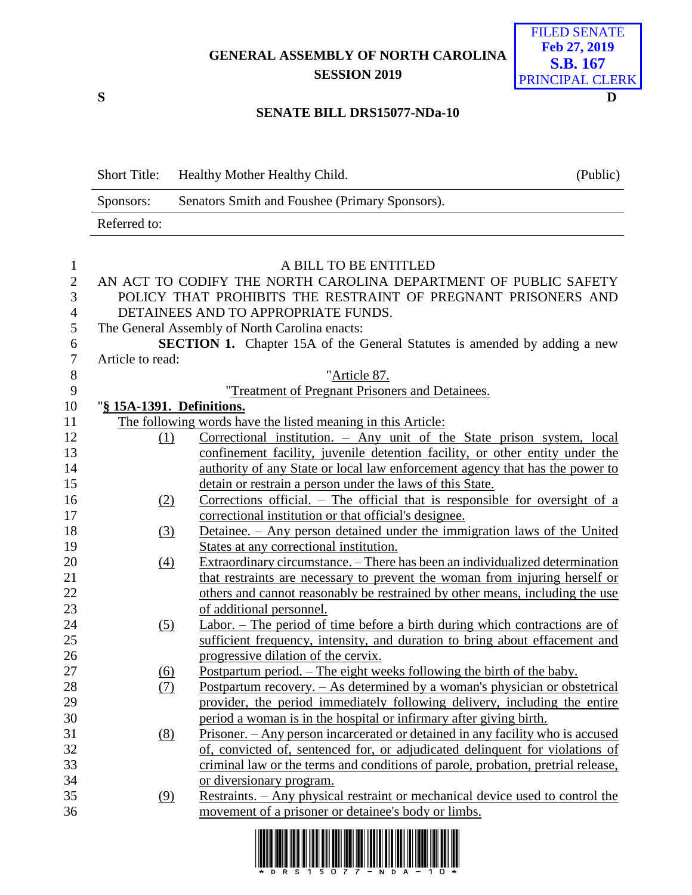## **GENERAL ASSEMBLY OF NORTH CAROLINA SESSION 2019**



## **SENATE BILL DRS15077-NDa-10**

|                | <b>Short Title:</b> | Healthy Mother Healthy Child.                                                    | (Public) |  |  |  |
|----------------|---------------------|----------------------------------------------------------------------------------|----------|--|--|--|
|                | Sponsors:           | Senators Smith and Foushee (Primary Sponsors).                                   |          |  |  |  |
|                | Referred to:        |                                                                                  |          |  |  |  |
|                |                     |                                                                                  |          |  |  |  |
| $\mathbf{1}$   |                     | A BILL TO BE ENTITLED                                                            |          |  |  |  |
| 2              |                     | AN ACT TO CODIFY THE NORTH CAROLINA DEPARTMENT OF PUBLIC SAFETY                  |          |  |  |  |
| 3              |                     | POLICY THAT PROHIBITS THE RESTRAINT OF PREGNANT PRISONERS AND                    |          |  |  |  |
| $\overline{4}$ |                     | DETAINEES AND TO APPROPRIATE FUNDS.                                              |          |  |  |  |
| 5              |                     | The General Assembly of North Carolina enacts:                                   |          |  |  |  |
| 6              |                     | <b>SECTION 1.</b> Chapter 15A of the General Statures is amended by adding a new |          |  |  |  |
| 7              | Article to read:    |                                                                                  |          |  |  |  |
| 8              |                     | "Article 87.                                                                     |          |  |  |  |
| $\Omega$       |                     | "Treatment of Dreament Drigonary and Detainees"                                  |          |  |  |  |

|    | "Treatment of Pregnant Prisoners and Detainees. |
|----|-------------------------------------------------|
| 10 | "§ 15A-1391. Definitions.                       |

## 11 The following words have the listed meaning in this Article:

| 1 T |                  | The following words have the fisted meaning in this Article.                          |
|-----|------------------|---------------------------------------------------------------------------------------|
| 12  | (1)              | Correctional institution. – Any unit of the State prison system, local                |
| 13  |                  | confinement facility, juvenile detention facility, or other entity under the          |
| 14  |                  | authority of any State or local law enforcement agency that has the power to          |
| 15  |                  | detain or restrain a person under the laws of this State.                             |
| 16  | (2)              | Corrections official. $-$ The official that is responsible for oversight of a         |
| 17  |                  | correctional institution or that official's designee.                                 |
| 18  | $\left(3\right)$ | Detainee. – Any person detained under the immigration laws of the United              |
| 19  |                  | States at any correctional institution.                                               |
| 20  | $\left(4\right)$ | Extraordinary circumstance. – There has been an individualized determination          |
| 21  |                  | that restraints are necessary to prevent the woman from injuring herself or           |
| 22  |                  | others and cannot reasonably be restrained by other means, including the use          |
| 23  |                  | of additional personnel.                                                              |
| 24  | <u>(5)</u>       | Labor. – The period of time before a birth during which contractions are of           |
| 25  |                  | sufficient frequency, intensity, and duration to bring about effacement and           |
| 26  |                  | progressive dilation of the cervix.                                                   |
| 27  | (6)              | <u>Postpartum period. – The eight weeks following the birth of the baby.</u>          |
| 28  | (7)              | <u>Postpartum</u> recovery. – As determined by a woman's physician or obstetrical     |
| 29  |                  | provider, the period immediately following delivery, including the entire             |
| 30  |                  | period a woman is in the hospital or infirmary after giving birth.                    |
| 31  | (8)              | <u>Prisoner. – Any person incarcerated or detained in any facility who is accused</u> |
| 32  |                  | of, convicted of, sentenced for, or adjudicated delinquent for violations of          |
| 33  |                  | criminal law or the terms and conditions of parole, probation, pretrial release,      |
| 34  |                  | or diversionary program.                                                              |
| 35  | (9)              | Restraints. – Any physical restraint or mechanical device used to control the         |
| 36  |                  | movement of a prisoner or detainee's body or limbs.                                   |
|     |                  |                                                                                       |